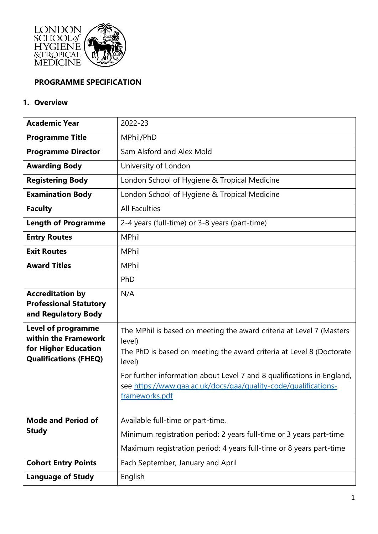

### **PROGRAMME SPECIFICATION**

#### **1. Overview**

| <b>Academic Year</b>                                                                               | 2022-23                                                                                                                                                                                                                                                                                                                         |
|----------------------------------------------------------------------------------------------------|---------------------------------------------------------------------------------------------------------------------------------------------------------------------------------------------------------------------------------------------------------------------------------------------------------------------------------|
| <b>Programme Title</b>                                                                             | MPhil/PhD                                                                                                                                                                                                                                                                                                                       |
| <b>Programme Director</b>                                                                          | Sam Alsford and Alex Mold                                                                                                                                                                                                                                                                                                       |
| <b>Awarding Body</b>                                                                               | University of London                                                                                                                                                                                                                                                                                                            |
| <b>Registering Body</b>                                                                            | London School of Hygiene & Tropical Medicine                                                                                                                                                                                                                                                                                    |
| <b>Examination Body</b>                                                                            | London School of Hygiene & Tropical Medicine                                                                                                                                                                                                                                                                                    |
| <b>Faculty</b>                                                                                     | <b>All Faculties</b>                                                                                                                                                                                                                                                                                                            |
| <b>Length of Programme</b>                                                                         | 2-4 years (full-time) or 3-8 years (part-time)                                                                                                                                                                                                                                                                                  |
| <b>Entry Routes</b>                                                                                | <b>MPhil</b>                                                                                                                                                                                                                                                                                                                    |
| <b>Exit Routes</b>                                                                                 | <b>MPhil</b>                                                                                                                                                                                                                                                                                                                    |
| <b>Award Titles</b>                                                                                | <b>MPhil</b>                                                                                                                                                                                                                                                                                                                    |
|                                                                                                    | PhD                                                                                                                                                                                                                                                                                                                             |
| <b>Accreditation by</b><br><b>Professional Statutory</b><br>and Regulatory Body                    | N/A                                                                                                                                                                                                                                                                                                                             |
| Level of programme<br>within the Framework<br>for Higher Education<br><b>Qualifications (FHEQ)</b> | The MPhil is based on meeting the award criteria at Level 7 (Masters<br>level)<br>The PhD is based on meeting the award criteria at Level 8 (Doctorate<br>level)<br>For further information about Level 7 and 8 qualifications in England,<br>see https://www.qaa.ac.uk/docs/qaa/quality-code/qualifications-<br>frameworks.pdf |
| <b>Mode and Period of</b><br><b>Study</b><br><b>Cohort Entry Points</b>                            | Available full-time or part-time.<br>Minimum registration period: 2 years full-time or 3 years part-time<br>Maximum registration period: 4 years full-time or 8 years part-time<br>Each September, January and April                                                                                                            |
| <b>Language of Study</b>                                                                           | English                                                                                                                                                                                                                                                                                                                         |
|                                                                                                    |                                                                                                                                                                                                                                                                                                                                 |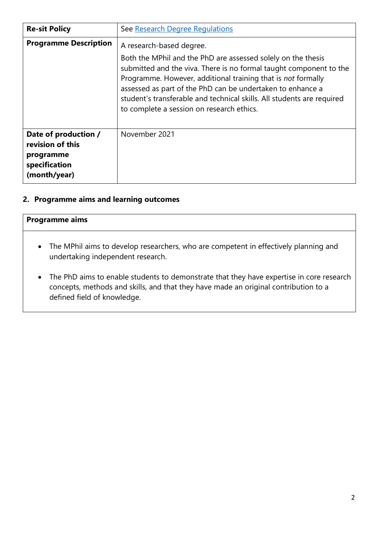| <b>Re-sit Policy</b>                                                                   | See Research Degree Regulations                                                                                                                                                                                                                                                                                                                                                                                     |
|----------------------------------------------------------------------------------------|---------------------------------------------------------------------------------------------------------------------------------------------------------------------------------------------------------------------------------------------------------------------------------------------------------------------------------------------------------------------------------------------------------------------|
| <b>Programme Description</b>                                                           | A research-based degree.<br>Both the MPhil and the PhD are assessed solely on the thesis<br>submitted and the viva. There is no formal taught component to the<br>Programme. However, additional training that is not formally<br>assessed as part of the PhD can be undertaken to enhance a<br>student's transferable and technical skills. All students are required<br>to complete a session on research ethics. |
| Date of production /<br>revision of this<br>programme<br>specification<br>(month/year) | November 2021                                                                                                                                                                                                                                                                                                                                                                                                       |

### **2. Programme aims and learning outcomes**

- The MPhil aims to develop researchers, who are competent in effectively planning and undertaking independent research.
- The PhD aims to enable students to demonstrate that they have expertise in core research concepts, methods and skills, and that they have made an original contribution to a defined field of knowledge.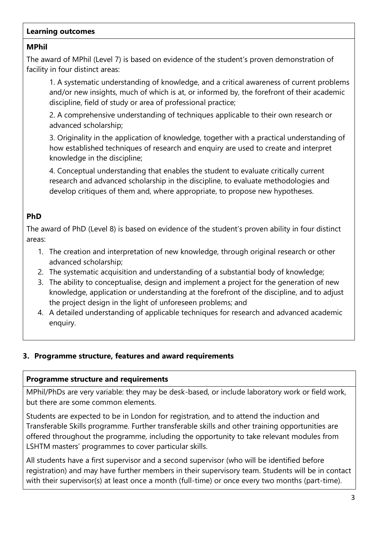#### **Learning outcomes**

### **MPhil**

The award of MPhil (Level 7) is based on evidence of the student's proven demonstration of facility in four distinct areas:

1. A systematic understanding of knowledge, and a critical awareness of current problems and/or new insights, much of which is at, or informed by, the forefront of their academic discipline, field of study or area of professional practice;

2. A comprehensive understanding of techniques applicable to their own research or advanced scholarship;

3. Originality in the application of knowledge, together with a practical understanding of how established techniques of research and enquiry are used to create and interpret knowledge in the discipline;

4. Conceptual understanding that enables the student to evaluate critically current research and advanced scholarship in the discipline, to evaluate methodologies and develop critiques of them and, where appropriate, to propose new hypotheses.

## **PhD**

The award of PhD (Level 8) is based on evidence of the student's proven ability in four distinct areas:

- 1. The creation and interpretation of new knowledge, through original research or other advanced scholarship;
- 2. The systematic acquisition and understanding of a substantial body of knowledge;
- 3. The ability to conceptualise, design and implement a project for the generation of new knowledge, application or understanding at the forefront of the discipline, and to adjust the project design in the light of unforeseen problems; and
- 4. A detailed understanding of applicable techniques for research and advanced academic enquiry.

### **3. Programme structure, features and award requirements**

#### **Programme structure and requirements**

MPhil/PhDs are very variable: they may be desk-based, or include laboratory work or field work, but there are some common elements.

Students are expected to be in London for registration, and to attend the induction and Transferable Skills programme. Further transferable skills and other training opportunities are offered throughout the programme, including the opportunity to take relevant modules from LSHTM masters' programmes to cover particular skills.

All students have a first supervisor and a second supervisor (who will be identified before registration) and may have further members in their supervisory team. Students will be in contact with their supervisor(s) at least once a month (full-time) or once every two months (part-time).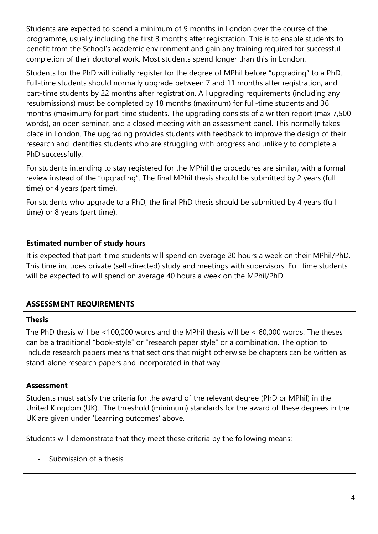Students are expected to spend a minimum of 9 months in London over the course of the programme, usually including the first 3 months after registration. This is to enable students to benefit from the School's academic environment and gain any training required for successful completion of their doctoral work. Most students spend longer than this in London.

Students for the PhD will initially register for the degree of MPhil before "upgrading" to a PhD. Full-time students should normally upgrade between 7 and 11 months after registration, and part-time students by 22 months after registration. All upgrading requirements (including any resubmissions) must be completed by 18 months (maximum) for full-time students and 36 months (maximum) for part-time students. The upgrading consists of a written report (max 7,500 words), an open seminar, and a closed meeting with an assessment panel. This normally takes place in London. The upgrading provides students with feedback to improve the design of their research and identifies students who are struggling with progress and unlikely to complete a PhD successfully.

For students intending to stay registered for the MPhil the procedures are similar, with a formal review instead of the "upgrading". The final MPhil thesis should be submitted by 2 years (full time) or 4 years (part time).

For students who upgrade to a PhD, the final PhD thesis should be submitted by 4 years (full time) or 8 years (part time).

## **Estimated number of study hours**

It is expected that part-time students will spend on average 20 hours a week on their MPhil/PhD. This time includes private (self-directed) study and meetings with supervisors. Full time students will be expected to will spend on average 40 hours a week on the MPhil/PhD

# **ASSESSMENT REQUIREMENTS**

### **Thesis**

The PhD thesis will be <100,000 words and the MPhil thesis will be < 60,000 words. The theses can be a traditional "book-style" or "research paper style" or a combination. The option to include research papers means that sections that might otherwise be chapters can be written as stand-alone research papers and incorporated in that way.

### **Assessment**

Students must satisfy the criteria for the award of the relevant degree (PhD or MPhil) in the United Kingdom (UK). The threshold (minimum) standards for the award of these degrees in the UK are given under 'Learning outcomes' above.

Students will demonstrate that they meet these criteria by the following means:

Submission of a thesis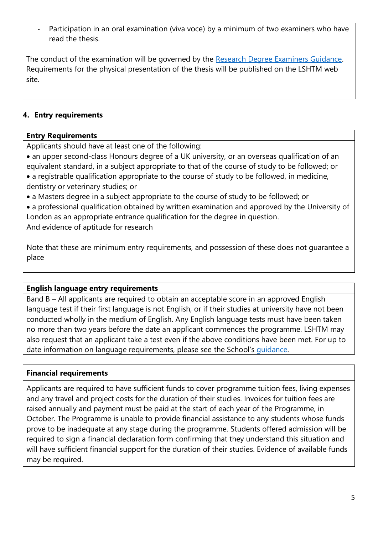Participation in an oral examination (viva voce) by a minimum of two examiners who have read the thesis.

The conduct of the examination will be governed by the [Research Degree Examiners Guidance.](https://www.lshtm.ac.uk/study/courses/research-degrees-and-doctoral-college/examiners-information) Requirements for the physical presentation of the thesis will be published on the LSHTM web site.

## **4. Entry requirements**

### **Entry Requirements**

Applicants should have at least one of the following:

- an upper second-class Honours degree of a UK university, or an overseas qualification of an equivalent standard, in a subject appropriate to that of the course of study to be followed; or • a registrable qualification appropriate to the course of study to be followed, in medicine, dentistry or veterinary studies; or
- a Masters degree in a subject appropriate to the course of study to be followed; or

• a professional qualification obtained by written examination and approved by the University of London as an appropriate entrance qualification for the degree in question. And evidence of aptitude for research

Note that these are minimum entry requirements, and possession of these does not guarantee a place

# **English language entry requirements**

Band B – All applicants are required to obtain an acceptable score in an approved English language test if their first language is not English, or if their studies at university have not been conducted wholly in the medium of English. Any English language tests must have been taken no more than two years before the date an applicant commences the programme. LSHTM may also request that an applicant take a test even if the above conditions have been met. For up to date information on language requirements, please see the School's [guidance.](https://www.lshtm.ac.uk/sites/default/files/english-language-requirements.pdf)

# **Financial requirements**

Applicants are required to have sufficient funds to cover programme tuition fees, living expenses and any travel and project costs for the duration of their studies. Invoices for tuition fees are raised annually and payment must be paid at the start of each year of the Programme, in October. The Programme is unable to provide financial assistance to any students whose funds prove to be inadequate at any stage during the programme. Students offered admission will be required to sign a financial declaration form confirming that they understand this situation and will have sufficient financial support for the duration of their studies. Evidence of available funds may be required.